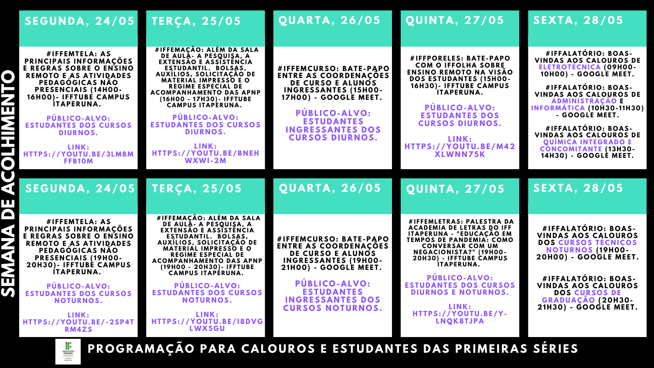# **SE X T A , 2 8/ 0 5**

## **SE X T A , 2 8/ 0 5**

**P Ú BL I C O - A L V O : ESTUDANTES DOS CURSOS**  $P$  **DIURNOS.** 

### SEGUNDA, 24/05 TERÇA, 25/05 QUARTA, 26/05 QUINTA, 27/05

**# I F F E M T E L A : A S P R I N C IP A IS I N F O R M A Ç Õ ES E R E G R A S S O B R E O E N SI N O R E M O T O E A S A T I V I D A D ES PE D A G Ó G I C A S N Ã O P R ESE N C I A IS ( 14 H 0 0 - 16 H 0 0 ) - I F F T U BE C A M P U S I T A PE R U N A .**

 **H T TPS: / / Y O U T U .BE /3L M B M L I N K : F FB1 0 M**

**RINCIPAIS INFORMAÇÕES**<br>**E REGRAS SOBRE O ENSINO # I F F E M T E L A : A S E R E G R A S S O B R E O E N SI N O REMOTO E AS ATIVIDADES PEDAGOGICAS NAO P R ESE N C I A IS ( 19 H 0 0 - 2 0 H 3 0 ) - I F F T U BE C A M P U S I T A PE R U N A .**

> **P Ú BL I C O - A L V O : ESTUDANTES DOS CURSOS**  $N$  **NOTURNOS.**

**# I F F E M A Ç Ã O : A L É M D A S A L A D E A U L A - A PES Q U IS A , A E XT E N S Ã O E A SSIST Ê N C I A**  $B$  **ESTUDANTIL.** BOLSAS, **A UXÍ L I O S, S O L I C I T A Ç Ã O D E M A T E R I A L I M P R ESS O E O R E G I M E ESPE C I A L D E**  $A$  **COMPANHAMENTO DAS APNP ( 16 H 0 0 - 17 H 3 0 ) - I F F T U BE**  $\Gamma$  **CAMPUS ITAPERUNA.** 

**# I F F E M A Ç Ã O : A L É M D A S A L A D E A U L A - A PES Q U IS A , A E XT E N S Ã O E A SSIST Ê N C I A EST U D A N T I L . B O LS A S, A UXÍ L I O S, S O L I C I T A Ç Ã O D E M A T E R I A L I M P R ESS O E O R E G I M E ESPE C I A L D E** ACOMPANHAMENTO DAS APNP **( 19 H 0 0 - 2 0 H 3 0 ) - I F F T U BE**  $\Gamma$  **CAMPUS ITAPÉRUNA.** 

**P Ú BL I C O - A L V O : ESTUDANTES DOS CURSOS**  $N$  **NOTURNOS.** 

**L I N K : H T TPS: / / Y O U T U .BE / - 2 SP4T R M 4 Z S**

**P Ú BL I C O - A L V O :**  $ESTUDANTES$ **I N G R ESS A N T ES D O S**  $CURSOSDUPNOS$ .

# V<br>SEGUNDA, 24/05 TERÇA, 25/05 QUARTA, 26/05 QUINTA, 27/05

**P Ú BL I C O - A L V O : ESTUDANTES INGRESSANTES DOS**  $CURSOSNOTURNOS.$ 



PROGRAMAÇÃO PARA CALOUROS E ESTUDANTES DAS PRIMEIRAS SÉRIES

**P Ú BL I C O - A L V O : ESTUDANTES DOS**  $CURSOSDUPNOS$ .

**P Ú BL I C O - A L V O : ESTUDANTES DOS CURSOS D I U R N O S.**

> **# I F F E M L E T R A S: P A L EST R A D A A C A D E M I A D E L E T R A S D O I F F ITAPERUNA - "EDUCACAO EM T E M P O S D E P A N D E M I A : C O M O C O N V E R S A R C O M U M N E G A C I O N IST A ? " ( 19 H 0 0 - 2 0 H 3 0 ) - I F F T U BE C A M P U S**  $I$  **TAPERUNA.**

**L I N K : H T TPS: / / Y O U T U .BE /B N E H WXWI - 2 M**

**P Ú BL I C O - A L V O : ESTUDANTES DOS CURSOS DIURNOS E NOTURNOS.** 

**L I N K : H T TPS: / / Y O U T U .BE / I8 D V G LWX 5 G U**

**# I F F E M C U R S O : B A T E -P A P O ENTRE AS COORDENACOES DE CURSO E ALUNOS I N G R ESS A N T ES ( 15 H 0 0 - 17 H 0 0 ) - G O O G L E M E E T .**

**# I F F E M C U R S O : B A T E -P A P O ENTRE AS COORDENACÕES DE CURSO E ALUNOS I N G R ESS A N T ES ( 19 H 0 0 - 2 1 H 0 0 ) - G O O G L E M E E T .**

**# I F FP O R E L ES: B A T E -P A P O C O M O I F F O L H A S O B R E E N SI N O R E M O T O N A V IS Ã O D O S EST U D A N T ES ( 15 H 0 0 - 16 H 3 0 ) - I F F T U BE C A M P U S I T A PE R U N A .**

**L I N K : H T TPS: / / Y O U T U .BE / M 4 2 X LWN N 75 K**

**L I N K : H T TPS: / / Y O U T U .BE / Y - L N Q K 8T JP A**

**# I F F A L A T Ó R I O : B O A S-VINDAS AOS CALOUROS DE E L E T R O T É C N I C A ( 0 9 H 0 0 - 1 0 H 0 0 ) - G O O G L E M E E T .**

**# I F F A L A T Ó R I O : B O A S-VINDAS AOS CALOUROS DE A D M I N IST R A Ç Ã O E I N F O R M Á T I C A ( 1 0 H 3 0 - 1 1 H 3 0 ) - G O O G L E M E E T .**

**# I F F A L A T Ó R I O : B O A S-VINDAS AOS CALOUROS DE QUIMICA INTEGRADO E C O N C O M I T A N T E ( 13 H 3 0 - 14 H 3 0 ) - G O O G L E M E E T .**

**# I F F A L A T Ó R I O : B O A S-VINDAS AOS CALOUROS DOS CURSOS TÉCNICOS N O T U R N O S ( 19 H 0 0 - 2 0 H 0 0 ) - G O O G L E M E E T .**

**# I F F A L A T Ó R I O : B O A S-VINDAS AOS CALOUROS DOS CURSOS DE G R A D U A Ç Ã O ( 2 0 H 3 0 - 2 1 H 3 0 ) - G O O G L E M E E T .**